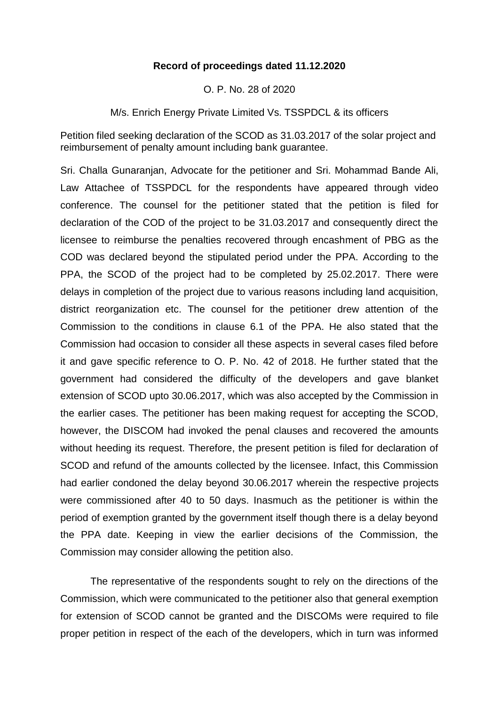## **Record of proceedings dated 11.12.2020**

O. P. No. 28 of 2020

M/s. Enrich Energy Private Limited Vs. TSSPDCL & its officers

Petition filed seeking declaration of the SCOD as 31.03.2017 of the solar project and reimbursement of penalty amount including bank guarantee.

Sri. Challa Gunaranjan, Advocate for the petitioner and Sri. Mohammad Bande Ali, Law Attachee of TSSPDCL for the respondents have appeared through video conference. The counsel for the petitioner stated that the petition is filed for declaration of the COD of the project to be 31.03.2017 and consequently direct the licensee to reimburse the penalties recovered through encashment of PBG as the COD was declared beyond the stipulated period under the PPA. According to the PPA, the SCOD of the project had to be completed by 25.02.2017. There were delays in completion of the project due to various reasons including land acquisition, district reorganization etc. The counsel for the petitioner drew attention of the Commission to the conditions in clause 6.1 of the PPA. He also stated that the Commission had occasion to consider all these aspects in several cases filed before it and gave specific reference to O. P. No. 42 of 2018. He further stated that the government had considered the difficulty of the developers and gave blanket extension of SCOD upto 30.06.2017, which was also accepted by the Commission in the earlier cases. The petitioner has been making request for accepting the SCOD, however, the DISCOM had invoked the penal clauses and recovered the amounts without heeding its request. Therefore, the present petition is filed for declaration of SCOD and refund of the amounts collected by the licensee. Infact, this Commission had earlier condoned the delay beyond 30.06.2017 wherein the respective projects were commissioned after 40 to 50 days. Inasmuch as the petitioner is within the period of exemption granted by the government itself though there is a delay beyond the PPA date. Keeping in view the earlier decisions of the Commission, the Commission may consider allowing the petition also.

The representative of the respondents sought to rely on the directions of the Commission, which were communicated to the petitioner also that general exemption for extension of SCOD cannot be granted and the DISCOMs were required to file proper petition in respect of the each of the developers, which in turn was informed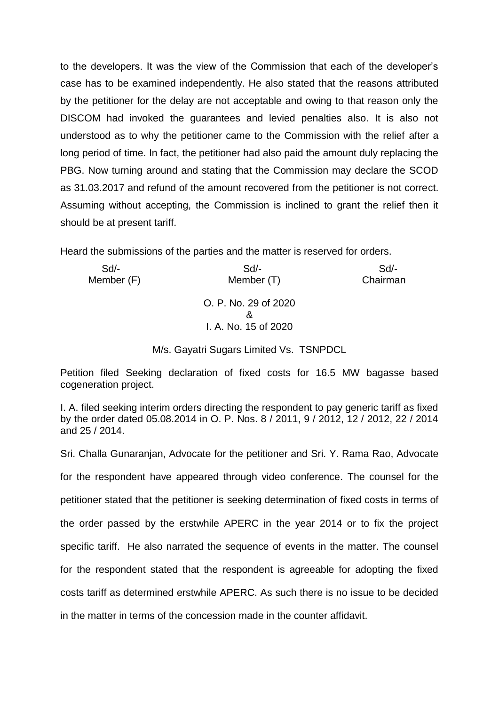to the developers. It was the view of the Commission that each of the developer's case has to be examined independently. He also stated that the reasons attributed by the petitioner for the delay are not acceptable and owing to that reason only the DISCOM had invoked the guarantees and levied penalties also. It is also not understood as to why the petitioner came to the Commission with the relief after a long period of time. In fact, the petitioner had also paid the amount duly replacing the PBG. Now turning around and stating that the Commission may declare the SCOD as 31.03.2017 and refund of the amount recovered from the petitioner is not correct. Assuming without accepting, the Commission is inclined to grant the relief then it should be at present tariff.

Heard the submissions of the parties and the matter is reserved for orders.

| $Sd$ -<br>Member (T)      | Sd<br>Chairman       |
|---------------------------|----------------------|
| O. P. No. 29 of 2020<br>& |                      |
|                           | I. A. No. 15 of 2020 |

M/s. Gayatri Sugars Limited Vs. TSNPDCL

Petition filed Seeking declaration of fixed costs for 16.5 MW bagasse based cogeneration project.

I. A. filed seeking interim orders directing the respondent to pay generic tariff as fixed by the order dated 05.08.2014 in O. P. Nos. 8 / 2011, 9 / 2012, 12 / 2012, 22 / 2014 and 25 / 2014.

Sri. Challa Gunaranjan, Advocate for the petitioner and Sri. Y. Rama Rao, Advocate for the respondent have appeared through video conference. The counsel for the petitioner stated that the petitioner is seeking determination of fixed costs in terms of the order passed by the erstwhile APERC in the year 2014 or to fix the project specific tariff. He also narrated the sequence of events in the matter. The counsel for the respondent stated that the respondent is agreeable for adopting the fixed costs tariff as determined erstwhile APERC. As such there is no issue to be decided in the matter in terms of the concession made in the counter affidavit.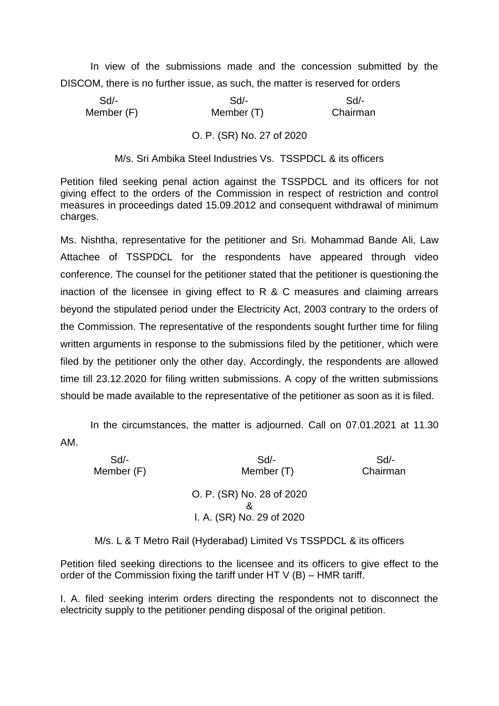In view of the submissions made and the concession submitted by the DISCOM, there is no further issue, as such, the matter is reserved for orders

 Sd/- Sd/- Sd/- Member (F) Member (T) Chairman

## O. P. (SR) No. 27 of 2020

M/s. Sri Ambika Steel Industries Vs. TSSPDCL & its officers

Petition filed seeking penal action against the TSSPDCL and its officers for not giving effect to the orders of the Commission in respect of restriction and control measures in proceedings dated 15.09.2012 and consequent withdrawal of minimum charges.

Ms. Nishtha, representative for the petitioner and Sri. Mohammad Bande Ali, Law Attachee of TSSPDCL for the respondents have appeared through video conference. The counsel for the petitioner stated that the petitioner is questioning the inaction of the licensee in giving effect to R & C measures and claiming arrears beyond the stipulated period under the Electricity Act, 2003 contrary to the orders of the Commission. The representative of the respondents sought further time for filing written arguments in response to the submissions filed by the petitioner, which were filed by the petitioner only the other day. Accordingly, the respondents are allowed time till 23.12.2020 for filing written submissions. A copy of the written submissions should be made available to the representative of the petitioner as soon as it is filed.

In the circumstances, the matter is adjourned. Call on 07.01.2021 at 11.30 AM.

| $Sd$ -     | Sd                                                     | Sd       |
|------------|--------------------------------------------------------|----------|
| Member (F) | Member (T)                                             | Chairman |
|            | O. P. (SR) No. 28 of 2020<br>I. A. (SR) No. 29 of 2020 |          |

M/s. L & T Metro Rail (Hyderabad) Limited Vs TSSPDCL & its officers

Petition filed seeking directions to the licensee and its officers to give effect to the order of the Commission fixing the tariff under HT  $V$  (B) – HMR tariff.

I. A. filed seeking interim orders directing the respondents not to disconnect the electricity supply to the petitioner pending disposal of the original petition.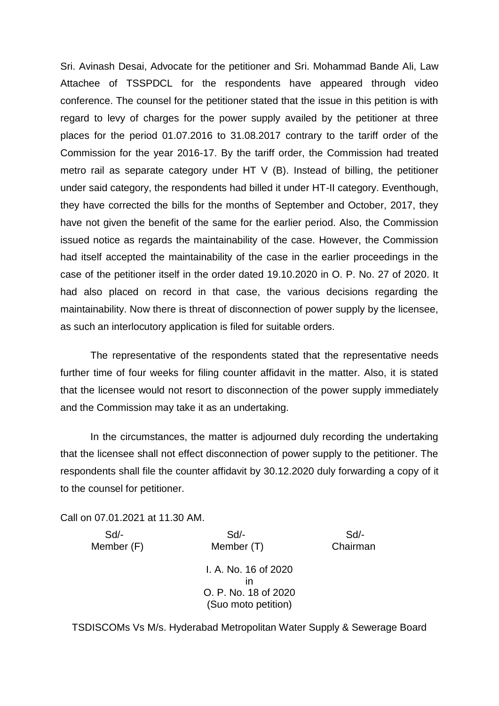Sri. Avinash Desai, Advocate for the petitioner and Sri. Mohammad Bande Ali, Law Attachee of TSSPDCL for the respondents have appeared through video conference. The counsel for the petitioner stated that the issue in this petition is with regard to levy of charges for the power supply availed by the petitioner at three places for the period 01.07.2016 to 31.08.2017 contrary to the tariff order of the Commission for the year 2016-17. By the tariff order, the Commission had treated metro rail as separate category under HT V (B). Instead of billing, the petitioner under said category, the respondents had billed it under HT-II category. Eventhough, they have corrected the bills for the months of September and October, 2017, they have not given the benefit of the same for the earlier period. Also, the Commission issued notice as regards the maintainability of the case. However, the Commission had itself accepted the maintainability of the case in the earlier proceedings in the case of the petitioner itself in the order dated 19.10.2020 in O. P. No. 27 of 2020. It had also placed on record in that case, the various decisions regarding the maintainability. Now there is threat of disconnection of power supply by the licensee, as such an interlocutory application is filed for suitable orders.

The representative of the respondents stated that the representative needs further time of four weeks for filing counter affidavit in the matter. Also, it is stated that the licensee would not resort to disconnection of the power supply immediately and the Commission may take it as an undertaking.

In the circumstances, the matter is adjourned duly recording the undertaking that the licensee shall not effect disconnection of power supply to the petitioner. The respondents shall file the counter affidavit by 30.12.2020 duly forwarding a copy of it to the counsel for petitioner.

Call on 07.01.2021 at 11.30 AM.

Member (F) Member (T) Chairman

Sd/- Sd/- Sd/-

I. A. No. 16 of 2020 in O. P. No. 18 of 2020 (Suo moto petition)

TSDISCOMs Vs M/s. Hyderabad Metropolitan Water Supply & Sewerage Board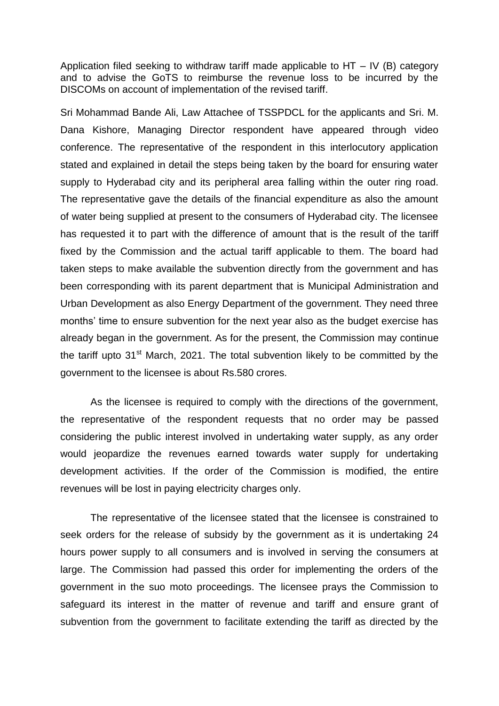Application filed seeking to withdraw tariff made applicable to HT – IV (B) category and to advise the GoTS to reimburse the revenue loss to be incurred by the DISCOMs on account of implementation of the revised tariff.

Sri Mohammad Bande Ali, Law Attachee of TSSPDCL for the applicants and Sri. M. Dana Kishore, Managing Director respondent have appeared through video conference. The representative of the respondent in this interlocutory application stated and explained in detail the steps being taken by the board for ensuring water supply to Hyderabad city and its peripheral area falling within the outer ring road. The representative gave the details of the financial expenditure as also the amount of water being supplied at present to the consumers of Hyderabad city. The licensee has requested it to part with the difference of amount that is the result of the tariff fixed by the Commission and the actual tariff applicable to them. The board had taken steps to make available the subvention directly from the government and has been corresponding with its parent department that is Municipal Administration and Urban Development as also Energy Department of the government. They need three months' time to ensure subvention for the next year also as the budget exercise has already began in the government. As for the present, the Commission may continue the tariff upto  $31<sup>st</sup>$  March, 2021. The total subvention likely to be committed by the government to the licensee is about Rs.580 crores.

As the licensee is required to comply with the directions of the government, the representative of the respondent requests that no order may be passed considering the public interest involved in undertaking water supply, as any order would jeopardize the revenues earned towards water supply for undertaking development activities. If the order of the Commission is modified, the entire revenues will be lost in paying electricity charges only.

The representative of the licensee stated that the licensee is constrained to seek orders for the release of subsidy by the government as it is undertaking 24 hours power supply to all consumers and is involved in serving the consumers at large. The Commission had passed this order for implementing the orders of the government in the suo moto proceedings. The licensee prays the Commission to safeguard its interest in the matter of revenue and tariff and ensure grant of subvention from the government to facilitate extending the tariff as directed by the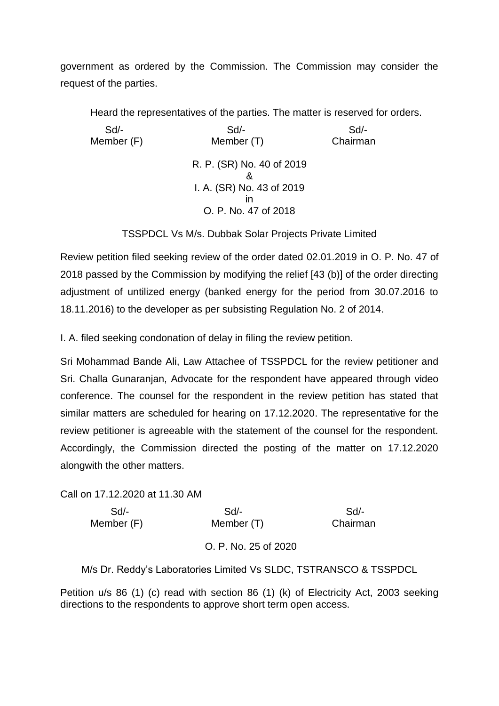government as ordered by the Commission. The Commission may consider the request of the parties.

Heard the representatives of the parties. The matter is reserved for orders.

 Sd/- Sd/- Sd/- Member (F) Member (T) Chairman R. P. (SR) No. 40 of 2019 & I. A. (SR) No. 43 of 2019 in O. P. No. 47 of 2018

TSSPDCL Vs M/s. Dubbak Solar Projects Private Limited

Review petition filed seeking review of the order dated 02.01.2019 in O. P. No. 47 of 2018 passed by the Commission by modifying the relief [43 (b)] of the order directing adjustment of untilized energy (banked energy for the period from 30.07.2016 to 18.11.2016) to the developer as per subsisting Regulation No. 2 of 2014.

I. A. filed seeking condonation of delay in filing the review petition.

Sri Mohammad Bande Ali, Law Attachee of TSSPDCL for the review petitioner and Sri. Challa Gunaranjan, Advocate for the respondent have appeared through video conference. The counsel for the respondent in the review petition has stated that similar matters are scheduled for hearing on 17.12.2020. The representative for the review petitioner is agreeable with the statement of the counsel for the respondent. Accordingly, the Commission directed the posting of the matter on 17.12.2020 alongwith the other matters.

Call on 17.12.2020 at 11.30 AM

| Sd/-       | Sd                   | Sd       |
|------------|----------------------|----------|
| Member (F) | Member (T)           | Chairman |
|            | O. P. No. 25 of 2020 |          |

M/s Dr. Reddy's Laboratories Limited Vs SLDC, TSTRANSCO & TSSPDCL

Petition u/s 86 (1) (c) read with section 86 (1) (k) of Electricity Act, 2003 seeking directions to the respondents to approve short term open access.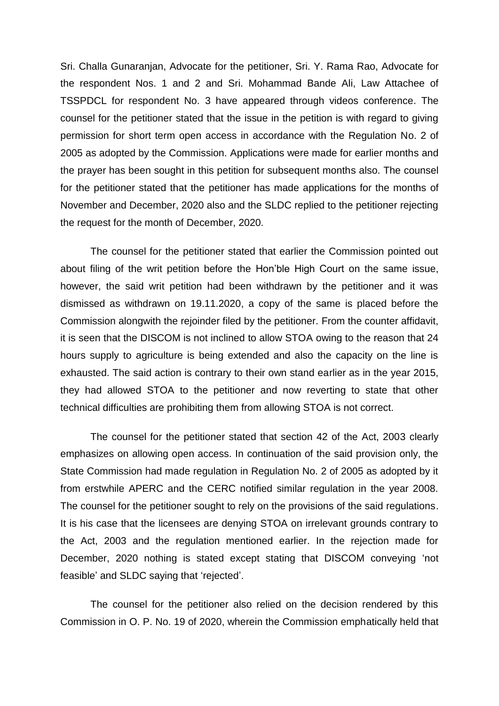Sri. Challa Gunaranjan, Advocate for the petitioner, Sri. Y. Rama Rao, Advocate for the respondent Nos. 1 and 2 and Sri. Mohammad Bande Ali, Law Attachee of TSSPDCL for respondent No. 3 have appeared through videos conference. The counsel for the petitioner stated that the issue in the petition is with regard to giving permission for short term open access in accordance with the Regulation No. 2 of 2005 as adopted by the Commission. Applications were made for earlier months and the prayer has been sought in this petition for subsequent months also. The counsel for the petitioner stated that the petitioner has made applications for the months of November and December, 2020 also and the SLDC replied to the petitioner rejecting the request for the month of December, 2020.

The counsel for the petitioner stated that earlier the Commission pointed out about filing of the writ petition before the Hon'ble High Court on the same issue, however, the said writ petition had been withdrawn by the petitioner and it was dismissed as withdrawn on 19.11.2020, a copy of the same is placed before the Commission alongwith the rejoinder filed by the petitioner. From the counter affidavit, it is seen that the DISCOM is not inclined to allow STOA owing to the reason that 24 hours supply to agriculture is being extended and also the capacity on the line is exhausted. The said action is contrary to their own stand earlier as in the year 2015, they had allowed STOA to the petitioner and now reverting to state that other technical difficulties are prohibiting them from allowing STOA is not correct.

The counsel for the petitioner stated that section 42 of the Act, 2003 clearly emphasizes on allowing open access. In continuation of the said provision only, the State Commission had made regulation in Regulation No. 2 of 2005 as adopted by it from erstwhile APERC and the CERC notified similar regulation in the year 2008. The counsel for the petitioner sought to rely on the provisions of the said regulations. It is his case that the licensees are denying STOA on irrelevant grounds contrary to the Act, 2003 and the regulation mentioned earlier. In the rejection made for December, 2020 nothing is stated except stating that DISCOM conveying 'not feasible' and SLDC saying that 'rejected'.

The counsel for the petitioner also relied on the decision rendered by this Commission in O. P. No. 19 of 2020, wherein the Commission emphatically held that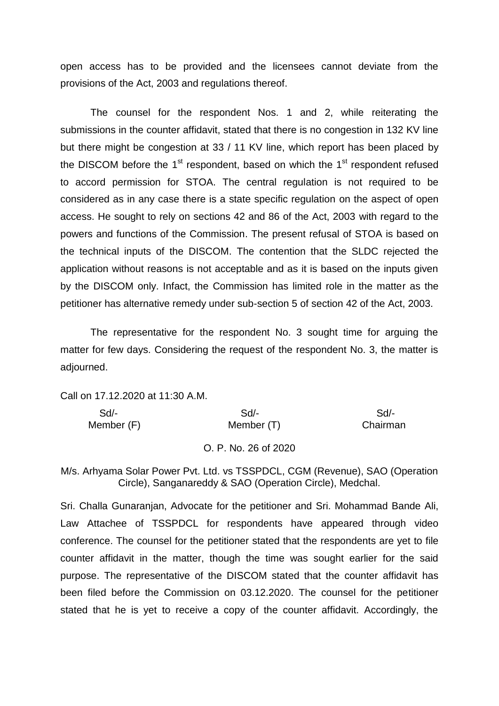open access has to be provided and the licensees cannot deviate from the provisions of the Act, 2003 and regulations thereof.

The counsel for the respondent Nos. 1 and 2, while reiterating the submissions in the counter affidavit, stated that there is no congestion in 132 KV line but there might be congestion at 33 / 11 KV line, which report has been placed by the DISCOM before the  $1<sup>st</sup>$  respondent, based on which the  $1<sup>st</sup>$  respondent refused to accord permission for STOA. The central regulation is not required to be considered as in any case there is a state specific regulation on the aspect of open access. He sought to rely on sections 42 and 86 of the Act, 2003 with regard to the powers and functions of the Commission. The present refusal of STOA is based on the technical inputs of the DISCOM. The contention that the SLDC rejected the application without reasons is not acceptable and as it is based on the inputs given by the DISCOM only. Infact, the Commission has limited role in the matter as the petitioner has alternative remedy under sub-section 5 of section 42 of the Act, 2003.

The representative for the respondent No. 3 sought time for arguing the matter for few days. Considering the request of the respondent No. 3, the matter is adjourned.

Call on 17.12.2020 at 11:30 A.M.

| Sd         | Sd/-                 | Sd/-     |
|------------|----------------------|----------|
| Member (F) | Member (T)           | Chairman |
|            |                      |          |
|            | O. P. No. 26 of 2020 |          |

M/s. Arhyama Solar Power Pvt. Ltd. vs TSSPDCL, CGM (Revenue), SAO (Operation Circle), Sanganareddy & SAO (Operation Circle), Medchal.

Sri. Challa Gunaranjan, Advocate for the petitioner and Sri. Mohammad Bande Ali, Law Attachee of TSSPDCL for respondents have appeared through video conference. The counsel for the petitioner stated that the respondents are yet to file counter affidavit in the matter, though the time was sought earlier for the said purpose. The representative of the DISCOM stated that the counter affidavit has been filed before the Commission on 03.12.2020. The counsel for the petitioner stated that he is yet to receive a copy of the counter affidavit. Accordingly, the